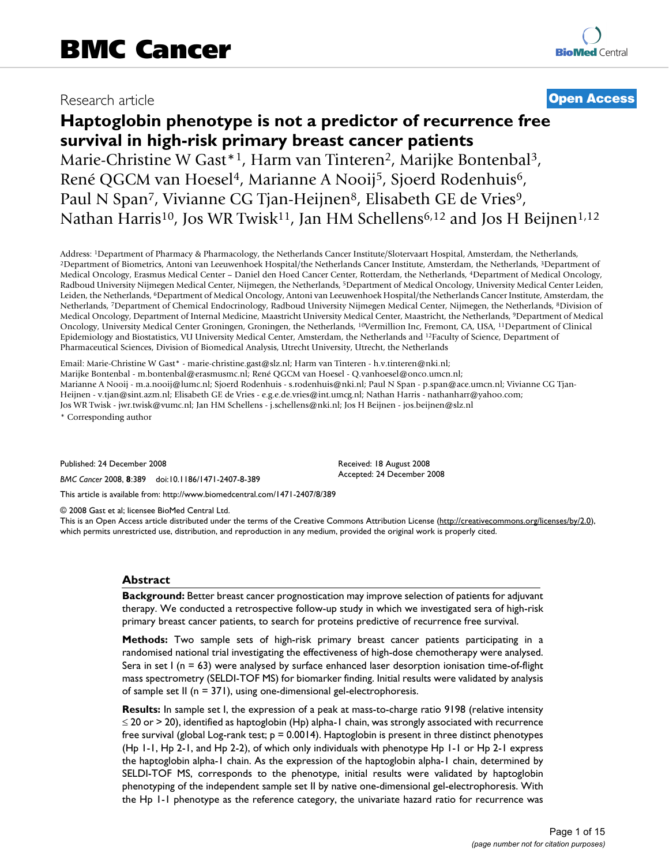## Research article **[Open Access](http://www.biomedcentral.com/info/about/charter/)**

# **Haptoglobin phenotype is not a predictor of recurrence free survival in high-risk primary breast cancer patients**

Marie-Christine W Gast\*<sup>1</sup>, Harm van Tinteren<sup>2</sup>, Marijke Bontenbal<sup>3</sup>, René QGCM van Hoesel<sup>4</sup>, Marianne A Nooij<sup>5</sup>, Sjoerd Rodenhuis<sup>6</sup>, Paul N Span<sup>7</sup>, Vivianne CG Tjan-Heijnen<sup>8</sup>, Elisabeth GE de Vries<sup>9</sup>, Nathan Harris<sup>10</sup>, Jos WR Twisk<sup>11</sup>, Jan HM Schellens<sup>6,12</sup> and Jos H Beijnen<sup>1,12</sup>

Address: <sup>1</sup>Department of Pharmacy & Pharmacology, the Netherlands Cancer Institute/Slotervaart Hospital, Amsterdam, the Netherlands,<br><sup>2</sup>Department of Biometrics, Antoni van Leeuwenhoek Hospital/the Netherlands Cancer Inst Medical Oncology, Erasmus Medical Center – Daniel den Hoed Cancer Center, Rotterdam, the Netherlands, 4Department of Medical Oncology, Radboud University Nijmegen Medical Center, Nijmegen, the Netherlands, 5Department of Medical Oncology, University Medical Center Leiden, Leiden, the Netherlands, 6Department of Medical Oncology, Antoni van Leeuwenhoek Hospital/the Netherlands Cancer Institute, Amsterdam, the Netherlands, 7Department of Chemical Endocrinology, Radboud University Nijmegen Medical Center, Nijmegen, the Netherlands, 8Division of Medical Oncology, Department of Internal Medicine, Maastricht University Medical Center, Maastricht, the Netherlands, 9Department of Medical Oncology, University Medical Center Groningen, Groningen, the Netherlands, 10Vermillion Inc, Fremont, CA, USA, 11Department of Clinical Epidemiology and Biostatistics, VU University Medical Center, Amsterdam, the Netherlands and 12Faculty of Science, Department of Pharmaceutical Sciences, Division of Biomedical Analysis, Utrecht University, Utrecht, the Netherlands

Email: Marie-Christine W Gast\* - marie-christine.gast@slz.nl; Harm van Tinteren - h.v.tinteren@nki.nl; Marijke Bontenbal - m.bontenbal@erasmusmc.nl; René QGCM van Hoesel - Q.vanhoesel@onco.umcn.nl; Marianne A Nooij - m.a.nooij@lumc.nl; Sjoerd Rodenhuis - s.rodenhuis@nki.nl; Paul N Span - p.span@ace.umcn.nl; Vivianne CG Tjan-Heijnen - v.tjan@sint.azm.nl; Elisabeth GE de Vries - e.g.e.de.vries@int.umcg.nl; Nathan Harris - nathanharr@yahoo.com; Jos WR Twisk - jwr.twisk@vumc.nl; Jan HM Schellens - j.schellens@nki.nl; Jos H Beijnen - jos.beijnen@slz.nl

\* Corresponding author

Published: 24 December 2008

*BMC Cancer* 2008, **8**:389 doi:10.1186/1471-2407-8-389

Received: 18 August 2008 Accepted: 24 December 2008

[This article is available from: http://www.biomedcentral.com/1471-2407/8/389](http://www.biomedcentral.com/1471-2407/8/389)

© 2008 Gast et al; licensee BioMed Central Ltd.

This is an Open Access article distributed under the terms of the Creative Commons Attribution License [\(http://creativecommons.org/licenses/by/2.0\)](http://creativecommons.org/licenses/by/2.0), which permits unrestricted use, distribution, and reproduction in any medium, provided the original work is properly cited.

#### **Abstract**

**Background:** Better breast cancer prognostication may improve selection of patients for adjuvant therapy. We conducted a retrospective follow-up study in which we investigated sera of high-risk primary breast cancer patients, to search for proteins predictive of recurrence free survival.

**Methods:** Two sample sets of high-risk primary breast cancer patients participating in a randomised national trial investigating the effectiveness of high-dose chemotherapy were analysed. Sera in set  $I$  (n = 63) were analysed by surface enhanced laser desorption ionisation time-of-flight mass spectrometry (SELDI-TOF MS) for biomarker finding. Initial results were validated by analysis of sample set II (n = 371), using one-dimensional gel-electrophoresis.

**Results:** In sample set I, the expression of a peak at mass-to-charge ratio 9198 (relative intensity  $\leq$  20 or > 20), identified as haptoglobin (Hp) alpha-1 chain, was strongly associated with recurrence free survival (global Log-rank test;  $p = 0.0014$ ). Haptoglobin is present in three distinct phenotypes (Hp 1-1, Hp 2-1, and Hp 2-2), of which only individuals with phenotype Hp 1-1 or Hp 2-1 express the haptoglobin alpha-1 chain. As the expression of the haptoglobin alpha-1 chain, determined by SELDI-TOF MS, corresponds to the phenotype, initial results were validated by haptoglobin phenotyping of the independent sample set II by native one-dimensional gel-electrophoresis. With the Hp 1-1 phenotype as the reference category, the univariate hazard ratio for recurrence was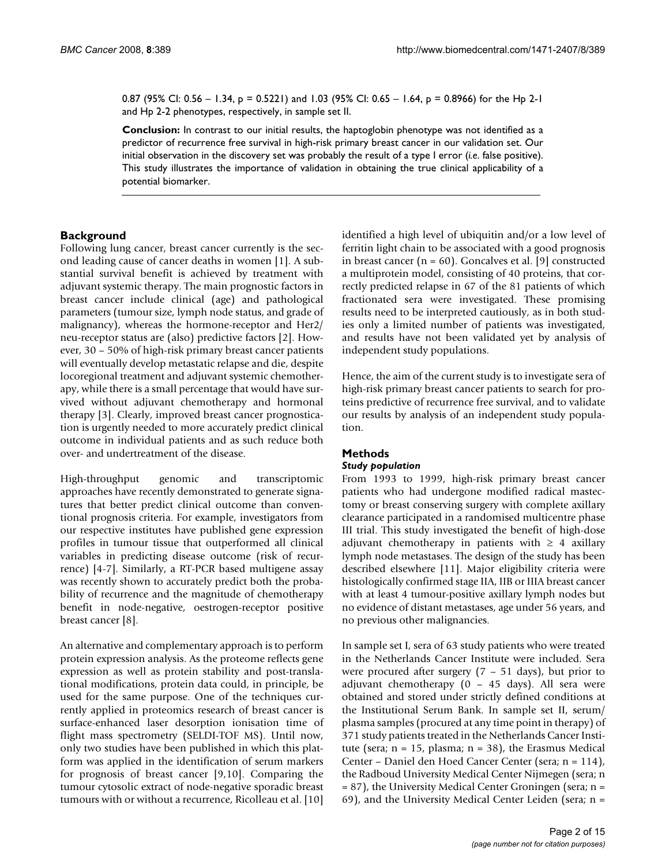0.87 (95% CI: 0.56 – 1.34, p = 0.5221) and 1.03 (95% CI: 0.65 – 1.64, p = 0.8966) for the Hp 2-1 and Hp 2-2 phenotypes, respectively, in sample set II.

**Conclusion:** In contrast to our initial results, the haptoglobin phenotype was not identified as a predictor of recurrence free survival in high-risk primary breast cancer in our validation set. Our initial observation in the discovery set was probably the result of a type I error (*i.e*. false positive). This study illustrates the importance of validation in obtaining the true clinical applicability of a potential biomarker.

#### **Background**

Following lung cancer, breast cancer currently is the second leading cause of cancer deaths in women [1]. A substantial survival benefit is achieved by treatment with adjuvant systemic therapy. The main prognostic factors in breast cancer include clinical (age) and pathological parameters (tumour size, lymph node status, and grade of malignancy), whereas the hormone-receptor and Her2/ neu-receptor status are (also) predictive factors [2]. However, 30 – 50% of high-risk primary breast cancer patients will eventually develop metastatic relapse and die, despite locoregional treatment and adjuvant systemic chemotherapy, while there is a small percentage that would have survived without adjuvant chemotherapy and hormonal therapy [3]. Clearly, improved breast cancer prognostication is urgently needed to more accurately predict clinical outcome in individual patients and as such reduce both over- and undertreatment of the disease.

High-throughput genomic and transcriptomic approaches have recently demonstrated to generate signatures that better predict clinical outcome than conventional prognosis criteria. For example, investigators from our respective institutes have published gene expression profiles in tumour tissue that outperformed all clinical variables in predicting disease outcome (risk of recurrence) [4-7]. Similarly, a RT-PCR based multigene assay was recently shown to accurately predict both the probability of recurrence and the magnitude of chemotherapy benefit in node-negative, oestrogen-receptor positive breast cancer [8].

An alternative and complementary approach is to perform protein expression analysis. As the proteome reflects gene expression as well as protein stability and post-translational modifications, protein data could, in principle, be used for the same purpose. One of the techniques currently applied in proteomics research of breast cancer is surface-enhanced laser desorption ionisation time of flight mass spectrometry (SELDI-TOF MS). Until now, only two studies have been published in which this platform was applied in the identification of serum markers for prognosis of breast cancer [9,10]. Comparing the tumour cytosolic extract of node-negative sporadic breast tumours with or without a recurrence, Ricolleau et al. [10] identified a high level of ubiquitin and/or a low level of ferritin light chain to be associated with a good prognosis in breast cancer ( $n = 60$ ). Goncalves et al. [9] constructed a multiprotein model, consisting of 40 proteins, that correctly predicted relapse in 67 of the 81 patients of which fractionated sera were investigated. These promising results need to be interpreted cautiously, as in both studies only a limited number of patients was investigated, and results have not been validated yet by analysis of independent study populations.

Hence, the aim of the current study is to investigate sera of high-risk primary breast cancer patients to search for proteins predictive of recurrence free survival, and to validate our results by analysis of an independent study population.

#### **Methods**

#### *Study population*

From 1993 to 1999, high-risk primary breast cancer patients who had undergone modified radical mastectomy or breast conserving surgery with complete axillary clearance participated in a randomised multicentre phase III trial. This study investigated the benefit of high-dose adjuvant chemotherapy in patients with  $\geq 4$  axillary lymph node metastases. The design of the study has been described elsewhere [11]. Major eligibility criteria were histologically confirmed stage IIA, IIB or IIIA breast cancer with at least 4 tumour-positive axillary lymph nodes but no evidence of distant metastases, age under 56 years, and no previous other malignancies.

In sample set I, sera of 63 study patients who were treated in the Netherlands Cancer Institute were included. Sera were procured after surgery  $(7 - 51$  days), but prior to adjuvant chemotherapy (0 – 45 days). All sera were obtained and stored under strictly defined conditions at the Institutional Serum Bank. In sample set II, serum/ plasma samples (procured at any time point in therapy) of 371 study patients treated in the Netherlands Cancer Institute (sera;  $n = 15$ , plasma;  $n = 38$ ), the Erasmus Medical Center – Daniel den Hoed Cancer Center (sera; n = 114), the Radboud University Medical Center Nijmegen (sera; n = 87), the University Medical Center Groningen (sera; n = 69), and the University Medical Center Leiden (sera; n =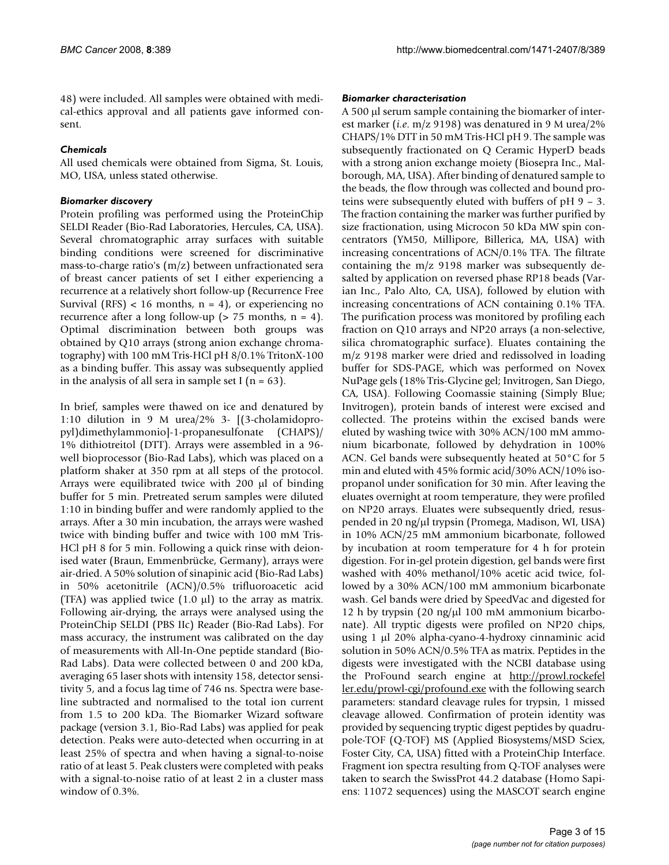48) were included. All samples were obtained with medical-ethics approval and all patients gave informed consent.

#### *Chemicals*

All used chemicals were obtained from Sigma, St. Louis, MO, USA, unless stated otherwise.

#### *Biomarker discovery*

Protein profiling was performed using the ProteinChip SELDI Reader (Bio-Rad Laboratories, Hercules, CA, USA). Several chromatographic array surfaces with suitable binding conditions were screened for discriminative mass-to-charge ratio's (m/z) between unfractionated sera of breast cancer patients of set I either experiencing a recurrence at a relatively short follow-up (Recurrence Free Survival (RFS) < 16 months,  $n = 4$ ), or experiencing no recurrence after a long follow-up ( $> 75$  months,  $n = 4$ ). Optimal discrimination between both groups was obtained by Q10 arrays (strong anion exchange chromatography) with 100 mM Tris-HCl pH 8/0.1% TritonX-100 as a binding buffer. This assay was subsequently applied in the analysis of all sera in sample set I ( $n = 63$ ).

In brief, samples were thawed on ice and denatured by 1:10 dilution in 9 M urea/2% 3- [(3-cholamidopropyl)dimethylammonio]-1-propanesulfonate (CHAPS)/ 1% dithiotreitol (DTT). Arrays were assembled in a 96 well bioprocessor (Bio-Rad Labs), which was placed on a platform shaker at 350 rpm at all steps of the protocol. Arrays were equilibrated twice with 200 μl of binding buffer for 5 min. Pretreated serum samples were diluted 1:10 in binding buffer and were randomly applied to the arrays. After a 30 min incubation, the arrays were washed twice with binding buffer and twice with 100 mM Tris-HCl pH 8 for 5 min. Following a quick rinse with deionised water (Braun, Emmenbrücke, Germany), arrays were air-dried. A 50% solution of sinapinic acid (Bio-Rad Labs) in 50% acetonitrile (ACN)/0.5% trifluoroacetic acid (TFA) was applied twice  $(1.0 \mu l)$  to the array as matrix. Following air-drying, the arrays were analysed using the ProteinChip SELDI (PBS IIc) Reader (Bio-Rad Labs). For mass accuracy, the instrument was calibrated on the day of measurements with All-In-One peptide standard (Bio-Rad Labs). Data were collected between 0 and 200 kDa, averaging 65 laser shots with intensity 158, detector sensitivity 5, and a focus lag time of 746 ns. Spectra were baseline subtracted and normalised to the total ion current from 1.5 to 200 kDa. The Biomarker Wizard software package (version 3.1, Bio-Rad Labs) was applied for peak detection. Peaks were auto-detected when occurring in at least 25% of spectra and when having a signal-to-noise ratio of at least 5. Peak clusters were completed with peaks with a signal-to-noise ratio of at least 2 in a cluster mass window of 0.3%.

#### *Biomarker characterisation*

A 500 μl serum sample containing the biomarker of interest marker (*i.e*. m/z 9198) was denatured in 9 M urea/2% CHAPS/1% DTT in 50 mM Tris-HCl pH 9. The sample was subsequently fractionated on Q Ceramic HyperD beads with a strong anion exchange moiety (Biosepra Inc., Malborough, MA, USA). After binding of denatured sample to the beads, the flow through was collected and bound proteins were subsequently eluted with buffers of pH 9 – 3. The fraction containing the marker was further purified by size fractionation, using Microcon 50 kDa MW spin concentrators (YM50, Millipore, Billerica, MA, USA) with increasing concentrations of ACN/0.1% TFA. The filtrate containing the m/z 9198 marker was subsequently desalted by application on reversed phase RP18 beads (Varian Inc., Palo Alto, CA, USA), followed by elution with increasing concentrations of ACN containing 0.1% TFA. The purification process was monitored by profiling each fraction on Q10 arrays and NP20 arrays (a non-selective, silica chromatographic surface). Eluates containing the m/z 9198 marker were dried and redissolved in loading buffer for SDS-PAGE, which was performed on Novex NuPage gels (18% Tris-Glycine gel; Invitrogen, San Diego, CA, USA). Following Coomassie staining (Simply Blue; Invitrogen), protein bands of interest were excised and collected. The proteins within the excised bands were eluted by washing twice with 30% ACN/100 mM ammonium bicarbonate, followed by dehydration in 100% ACN. Gel bands were subsequently heated at 50°C for 5 min and eluted with 45% formic acid/30% ACN/10% isopropanol under sonification for 30 min. After leaving the eluates overnight at room temperature, they were profiled on NP20 arrays. Eluates were subsequently dried, resuspended in 20 ng/μl trypsin (Promega, Madison, WI, USA) in 10% ACN/25 mM ammonium bicarbonate, followed by incubation at room temperature for 4 h for protein digestion. For in-gel protein digestion, gel bands were first washed with 40% methanol/10% acetic acid twice, followed by a 30% ACN/100 mM ammonium bicarbonate wash. Gel bands were dried by SpeedVac and digested for 12 h by trypsin (20 ng/μl 100 mM ammonium bicarbonate). All tryptic digests were profiled on NP20 chips, using 1 μl 20% alpha-cyano-4-hydroxy cinnaminic acid solution in 50% ACN/0.5% TFA as matrix. Peptides in the digests were investigated with the NCBI database using the ProFound search engine at [http://prowl.rockefel](http://prowl.rockefeller.edu/prowl-cgi/profound.exe) [ler.edu/prowl-cgi/profound.exe](http://prowl.rockefeller.edu/prowl-cgi/profound.exe) with the following search parameters: standard cleavage rules for trypsin, 1 missed cleavage allowed. Confirmation of protein identity was provided by sequencing tryptic digest peptides by quadrupole-TOF (Q-TOF) MS (Applied Biosystems/MSD Sciex, Foster City, CA, USA) fitted with a ProteinChip Interface. Fragment ion spectra resulting from Q-TOF analyses were taken to search the SwissProt 44.2 database (Homo Sapiens: 11072 sequences) using the MASCOT search engine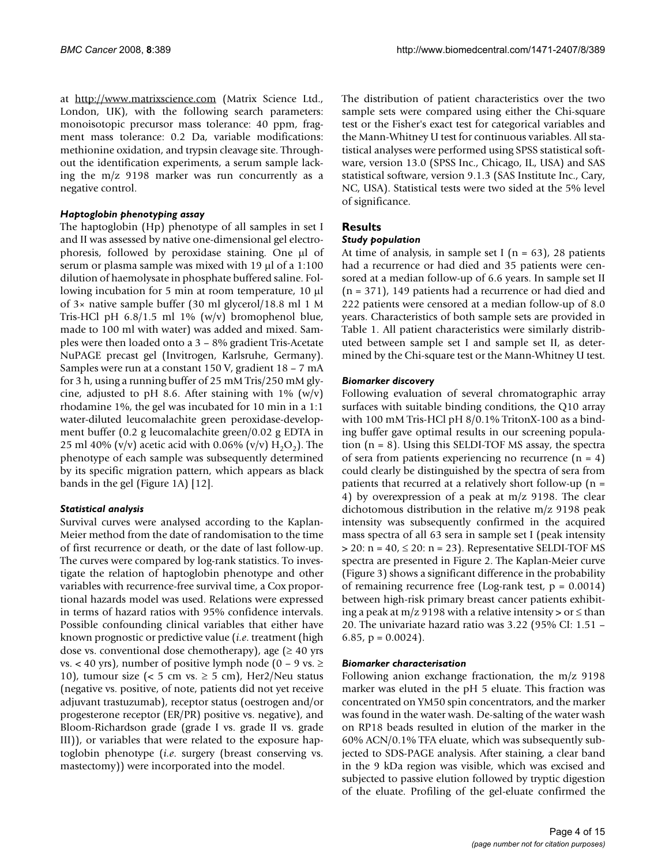at <http://www.matrixscience.com>(Matrix Science Ltd., London, UK), with the following search parameters: monoisotopic precursor mass tolerance: 40 ppm, fragment mass tolerance: 0.2 Da, variable modifications: methionine oxidation, and trypsin cleavage site. Throughout the identification experiments, a serum sample lacking the m/z 9198 marker was run concurrently as a negative control.

#### *Haptoglobin phenotyping assay*

The haptoglobin (Hp) phenotype of all samples in set I and II was assessed by native one-dimensional gel electrophoresis, followed by peroxidase staining. One μl of serum or plasma sample was mixed with 19 μl of a 1:100 dilution of haemolysate in phosphate buffered saline. Following incubation for 5 min at room temperature, 10 μl of 3× native sample buffer (30 ml glycerol/18.8 ml 1 M Tris-HCl pH 6.8/1.5 ml 1% (w/v) bromophenol blue, made to 100 ml with water) was added and mixed. Samples were then loaded onto a 3 – 8% gradient Tris-Acetate NuPAGE precast gel (Invitrogen, Karlsruhe, Germany). Samples were run at a constant 150 V, gradient 18 – 7 mA for 3 h, using a running buffer of 25 mM Tris/250 mM glycine, adjusted to pH 8.6. After staining with  $1\%$  (w/v) rhodamine 1%, the gel was incubated for 10 min in a 1:1 water-diluted leucomalachite green peroxidase-development buffer (0.2 g leucomalachite green/0.02 g EDTA in 25 ml 40% (v/v) acetic acid with 0.06% (v/v)  $H_2O_2$ ). The phenotype of each sample was subsequently determined by its specific migration pattern, which appears as black bands in the gel (Figure 1A) [12].

#### *Statistical analysis*

Survival curves were analysed according to the Kaplan-Meier method from the date of randomisation to the time of first recurrence or death, or the date of last follow-up. The curves were compared by log-rank statistics. To investigate the relation of haptoglobin phenotype and other variables with recurrence-free survival time, a Cox proportional hazards model was used. Relations were expressed in terms of hazard ratios with 95% confidence intervals. Possible confounding clinical variables that either have known prognostic or predictive value (*i.e*. treatment (high dose vs. conventional dose chemotherapy), age  $(≥ 40$  yrs vs. < 40 yrs), number of positive lymph node (0 – 9 vs.  $\ge$ 10), tumour size (< 5 cm vs.  $\geq$  5 cm), Her2/Neu status (negative vs. positive, of note, patients did not yet receive adjuvant trastuzumab), receptor status (oestrogen and/or progesterone receptor (ER/PR) positive vs. negative), and Bloom-Richardson grade (grade I vs. grade II vs. grade III)), or variables that were related to the exposure haptoglobin phenotype (*i.e*. surgery (breast conserving vs. mastectomy)) were incorporated into the model.

The distribution of patient characteristics over the two sample sets were compared using either the Chi-square test or the Fisher's exact test for categorical variables and the Mann-Whitney U test for continuous variables. All statistical analyses were performed using SPSS statistical software, version 13.0 (SPSS Inc., Chicago, IL, USA) and SAS statistical software, version 9.1.3 (SAS Institute Inc., Cary, NC, USA). Statistical tests were two sided at the 5% level of significance.

### **Results**

#### *Study population*

At time of analysis, in sample set I ( $n = 63$ ), 28 patients had a recurrence or had died and 35 patients were censored at a median follow-up of 6.6 years. In sample set II (n = 371), 149 patients had a recurrence or had died and 222 patients were censored at a median follow-up of 8.0 years. Characteristics of both sample sets are provided in Table 1. All patient characteristics were similarly distributed between sample set I and sample set II, as determined by the Chi-square test or the Mann-Whitney U test.

#### *Biomarker discovery*

Following evaluation of several chromatographic array surfaces with suitable binding conditions, the Q10 array with 100 mM Tris-HCl pH 8/0.1% TritonX-100 as a binding buffer gave optimal results in our screening population (n = 8). Using this SELDI-TOF MS assay, the spectra of sera from patients experiencing no recurrence  $(n = 4)$ could clearly be distinguished by the spectra of sera from patients that recurred at a relatively short follow-up (n = 4) by overexpression of a peak at m/z 9198. The clear dichotomous distribution in the relative m/z 9198 peak intensity was subsequently confirmed in the acquired mass spectra of all 63 sera in sample set I (peak intensity  $>$  20: n = 40,  $\leq$  20: n = 23). Representative SELDI-TOF MS spectra are presented in Figure 2. The Kaplan-Meier curve (Figure 3) shows a significant difference in the probability of remaining recurrence free (Log-rank test,  $p = 0.0014$ ) between high-risk primary breast cancer patients exhibiting a peak at  $m/z$  9198 with a relative intensity  $>$  or  $\leq$  than 20. The univariate hazard ratio was 3.22 (95% CI: 1.51 – 6.85,  $p = 0.0024$ .

#### *Biomarker characterisation*

Following anion exchange fractionation, the m/z 9198 marker was eluted in the pH 5 eluate. This fraction was concentrated on YM50 spin concentrators, and the marker was found in the water wash. De-salting of the water wash on RP18 beads resulted in elution of the marker in the 60% ACN/0.1% TFA eluate, which was subsequently subjected to SDS-PAGE analysis. After staining, a clear band in the 9 kDa region was visible, which was excised and subjected to passive elution followed by tryptic digestion of the eluate. Profiling of the gel-eluate confirmed the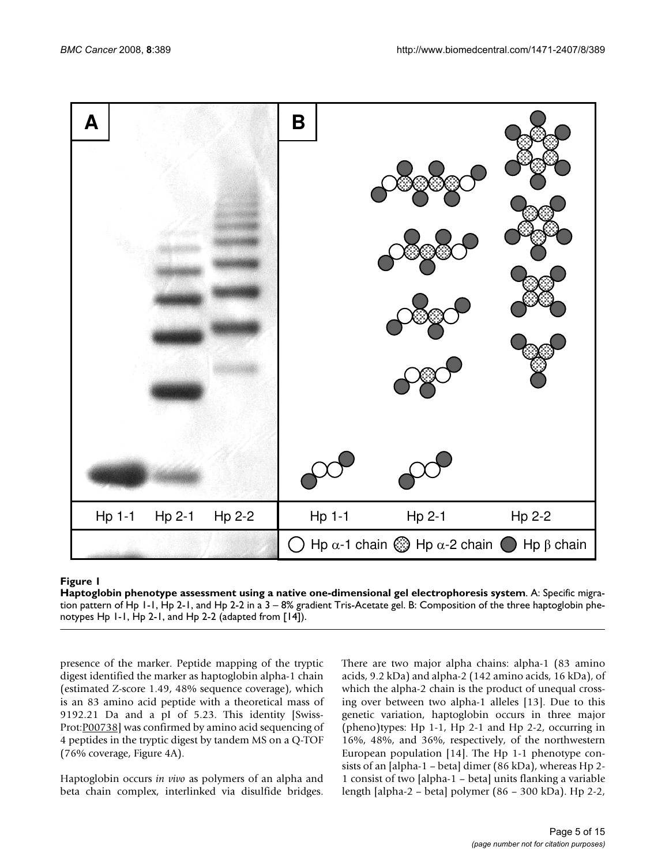

#### Haptoglobin phenotype assessment using a native **Figure 1** one-dimensional gel electrophoresis system

**Haptoglobin phenotype assessment using a native one-dimensional gel electrophoresis system**. A: Specific migration pattern of Hp 1-1, Hp 2-1, and Hp 2-2 in a 3 – 8% gradient Tris-Acetate gel. B: Composition of the three haptoglobin phenotypes Hp 1-1, Hp 2-1, and Hp 2-2 (adapted from [14]).

presence of the marker. Peptide mapping of the tryptic digest identified the marker as haptoglobin alpha-1 chain (estimated Z-score 1.49, 48% sequence coverage), which is an 83 amino acid peptide with a theoretical mass of 9192.21 Da and a pI of 5.23. This identity [Swiss-Prot[:P00738\]](http://www.ebi.ac.uk/cgi-bin/dbfetch?db=swall&id=P00738) was confirmed by amino acid sequencing of 4 peptides in the tryptic digest by tandem MS on a Q-TOF (76% coverage, Figure 4A).

Haptoglobin occurs *in vivo* as polymers of an alpha and beta chain complex, interlinked via disulfide bridges.

There are two major alpha chains: alpha-1 (83 amino acids, 9.2 kDa) and alpha-2 (142 amino acids, 16 kDa), of which the alpha-2 chain is the product of unequal crossing over between two alpha-1 alleles [13]. Due to this genetic variation, haptoglobin occurs in three major (pheno)types: Hp 1-1, Hp 2-1 and Hp 2-2, occurring in 16%, 48%, and 36%, respectively, of the northwestern European population [14]. The Hp 1-1 phenotype consists of an [alpha-1 – beta] dimer (86 kDa), whereas Hp 2- 1 consist of two [alpha-1 – beta] units flanking a variable length [alpha-2 – beta] polymer (86 – 300 kDa). Hp 2-2,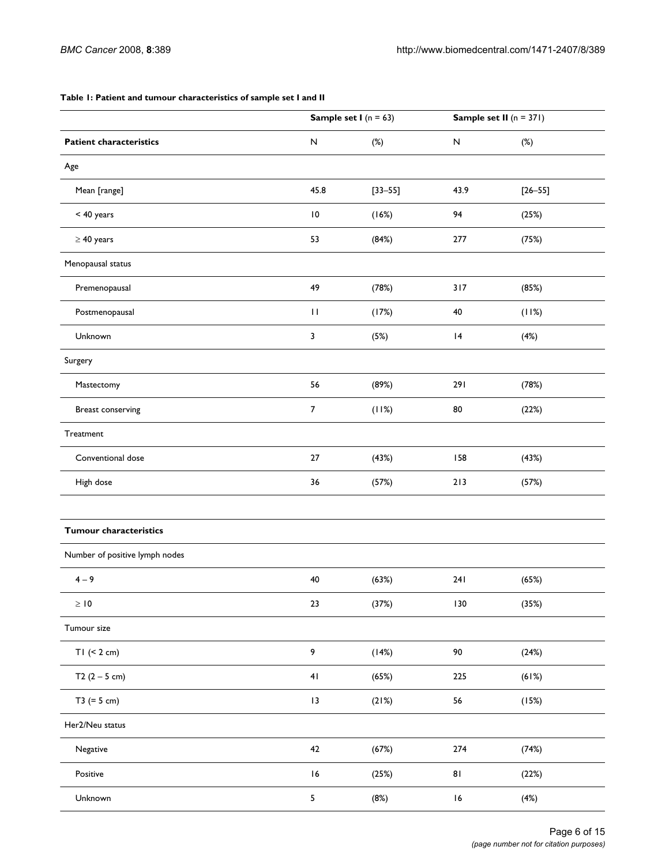#### **Table 1: Patient and tumour characteristics of sample set I and II**

|                                | <b>Sample set I</b> ( $n = 63$ ) |             | Sample set II $(n = 371)$ |             |
|--------------------------------|----------------------------------|-------------|---------------------------|-------------|
| <b>Patient characteristics</b> | ${\sf N}$                        | $(\%)$      | N                         | $(\%)$      |
| Age                            |                                  |             |                           |             |
| Mean [range]                   | 45.8                             | $[33 - 55]$ | 43.9                      | $[26 - 55]$ |
| < 40 years                     | $\overline{10}$                  | (16%)       | 94                        | (25%)       |
| $\geq 40$ years                | 53                               | (84%)       | 277                       | (75%)       |
| Menopausal status              |                                  |             |                           |             |
| Premenopausal                  | 49                               | (78%)       | 317                       | (85%)       |
| Postmenopausal                 | $\mathbf{H}$                     | (17%)       | 40                        | (11%)       |
| Unknown                        | 3                                | (5%)        | 4                         | (4%)        |
| Surgery                        |                                  |             |                           |             |
| Mastectomy                     | 56                               | (89%)       | 291                       | (78%)       |
| Breast conserving              | $\boldsymbol{7}$                 | (11%)       | $80\,$                    | (22%)       |
| Treatment                      |                                  |             |                           |             |
| Conventional dose              | 27                               | (43%)       | 158                       | (43%)       |
| High dose                      | 36                               | (57%)       | 213                       | (57%)       |
|                                |                                  |             |                           |             |
| <b>Tumour characteristics</b>  |                                  |             |                           |             |
| Number of positive lymph nodes |                                  |             |                           |             |
| $4 - 9$                        | 40                               | (63%)       | 241                       | (65%)       |
| $\geq 10$                      | 23                               | (37%)       | 130                       | (35%)       |
| Tumour size                    |                                  |             |                           |             |
| $TI$ (< 2 cm)                  | 9                                | (14%)       | 90                        | (24%)       |
| T2 $(2 - 5$ cm)                | 41                               | (65%)       | 225                       | (61%)       |
| $T3 (= 5 cm)$                  | 3                                | (21%)       | 56                        | (15%)       |
| Her2/Neu status                |                                  |             |                           |             |
| Negative                       | 42                               | (67%)       | 274                       | (74%)       |
| Positive                       | 16                               | (25%)       | 81                        | (22%)       |
| Unknown                        | 5                                | (8%)        | 16                        | (4%)        |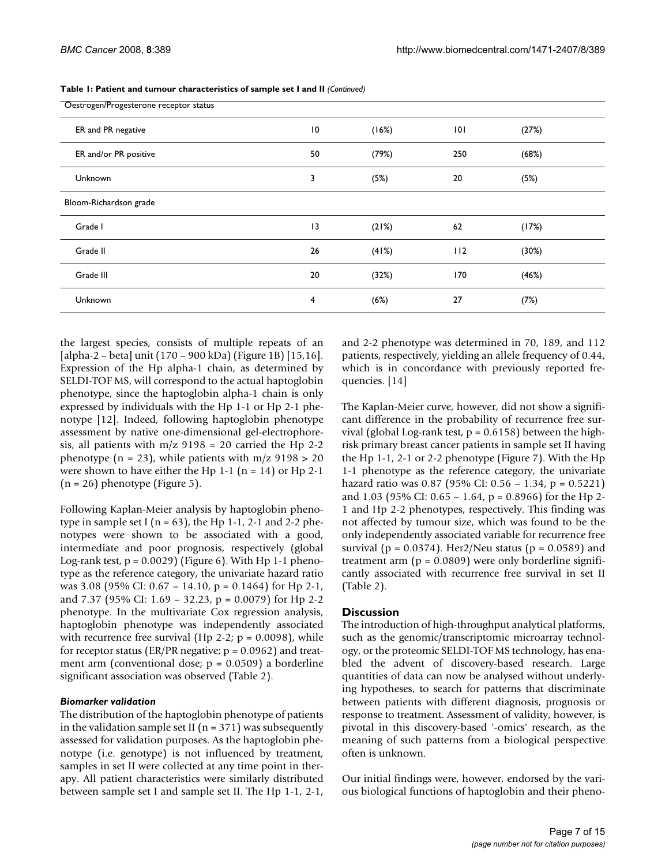| Oestrogen/Progesterone receptor status |    |       |     |       |  |  |  |  |
|----------------------------------------|----|-------|-----|-------|--|--|--|--|
| ER and PR negative                     | 10 | (16%) | 0   | (27%) |  |  |  |  |
| ER and/or PR positive                  | 50 | (79%) | 250 | (68%) |  |  |  |  |
| <b>Unknown</b>                         | 3  | (5%)  | 20  | (5%)  |  |  |  |  |
| Bloom-Richardson grade                 |    |       |     |       |  |  |  |  |
| Grade I                                | 13 | (21%) | 62  | (17%) |  |  |  |  |
| Grade II                               | 26 | (41%) | 112 | (30%) |  |  |  |  |
| Grade III                              | 20 | (32%) | 170 | (46%) |  |  |  |  |
| Unknown                                | 4  | (6%)  | 27  | (7%)  |  |  |  |  |

**Table 1: Patient and tumour characteristics of sample set I and II** *(Continued)*

the largest species, consists of multiple repeats of an [alpha-2 – beta] unit (170 – 900 kDa) (Figure 1B) [15,16]. Expression of the Hp alpha-1 chain, as determined by SELDI-TOF MS, will correspond to the actual haptoglobin phenotype, since the haptoglobin alpha-1 chain is only expressed by individuals with the Hp 1-1 or Hp 2-1 phenotype [12]. Indeed, following haptoglobin phenotype assessment by native one-dimensional gel-electrophoresis, all patients with  $m/z$  9198 = 20 carried the Hp 2-2 phenotype (n = 23), while patients with  $m/z$  9198 > 20 were shown to have either the Hp  $1-1$  (n = 14) or Hp  $2-1$  $(n = 26)$  phenotype (Figure 5).

Following Kaplan-Meier analysis by haptoglobin phenotype in sample set I ( $n = 63$ ), the Hp 1-1, 2-1 and 2-2 phenotypes were shown to be associated with a good, intermediate and poor prognosis, respectively (global Log-rank test,  $p = 0.0029$  (Figure 6). With Hp 1-1 phenotype as the reference category, the univariate hazard ratio was 3.08 (95% CI: 0.67 – 14.10, p = 0.1464) for Hp 2-1, and 7.37 (95% CI: 1.69 – 32.23, p = 0.0079) for Hp 2-2 phenotype. In the multivariate Cox regression analysis, haptoglobin phenotype was independently associated with recurrence free survival (Hp 2-2;  $p = 0.0098$ ), while for receptor status (ER/PR negative;  $p = 0.0962$ ) and treatment arm (conventional dose;  $p = 0.0509$ ) a borderline significant association was observed (Table 2).

#### *Biomarker validation*

The distribution of the haptoglobin phenotype of patients in the validation sample set II ( $n = 371$ ) was subsequently assessed for validation purposes. As the haptoglobin phenotype (i.e. genotype) is not influenced by treatment, samples in set II were collected at any time point in therapy. All patient characteristics were similarly distributed between sample set I and sample set II. The Hp 1-1, 2-1,

and 2-2 phenotype was determined in 70, 189, and 112 patients, respectively, yielding an allele frequency of 0.44, which is in concordance with previously reported frequencies. [14]

The Kaplan-Meier curve, however, did not show a significant difference in the probability of recurrence free survival (global Log-rank test,  $p = 0.6158$ ) between the highrisk primary breast cancer patients in sample set II having the Hp 1-1, 2-1 or 2-2 phenotype (Figure 7). With the Hp 1-1 phenotype as the reference category, the univariate hazard ratio was 0.87 (95% CI: 0.56 – 1.34, p = 0.5221) and 1.03 (95% CI: 0.65 – 1.64, p = 0.8966) for the Hp 2- 1 and Hp 2-2 phenotypes, respectively. This finding was not affected by tumour size, which was found to be the only independently associated variable for recurrence free survival ( $p = 0.0374$ ). Her2/Neu status ( $p = 0.0589$ ) and treatment arm  $(p = 0.0809)$  were only borderline significantly associated with recurrence free survival in set II (Table 2).

#### **Discussion**

The introduction of high-throughput analytical platforms, such as the genomic/transcriptomic microarray technology, or the proteomic SELDI-TOF MS technology, has enabled the advent of discovery-based research. Large quantities of data can now be analysed without underlying hypotheses, to search for patterns that discriminate between patients with different diagnosis, prognosis or response to treatment. Assessment of validity, however, is pivotal in this discovery-based '-omics' research, as the meaning of such patterns from a biological perspective often is unknown.

Our initial findings were, however, endorsed by the various biological functions of haptoglobin and their pheno-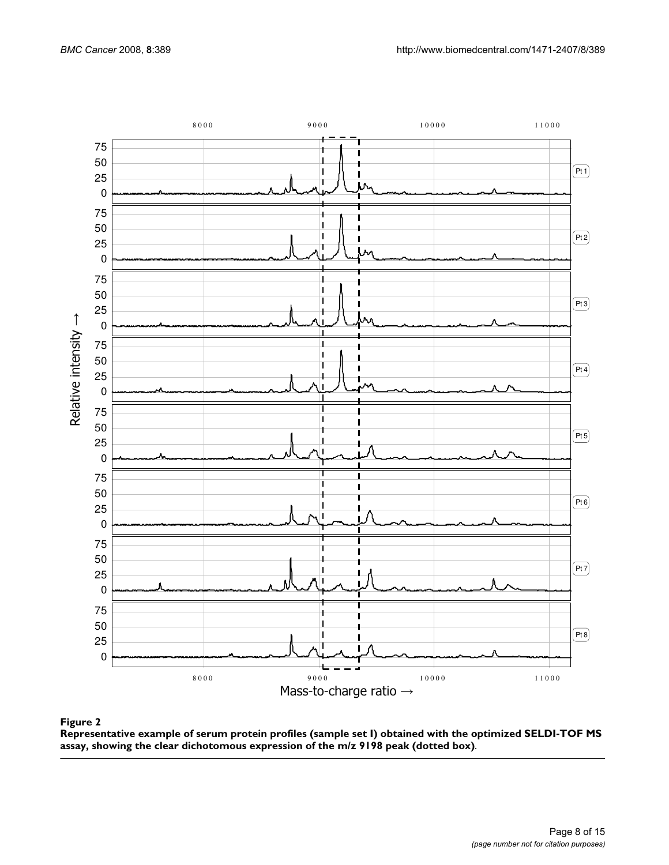

#### Representative example of serum protein pr the clear dichotomous e **Figure 2** xpression of the m/z ofiles (sample set I) obta 9198 peak (dotted box)ined with the optimized SELDI-TOF MS assay, showing

**Representative example of serum protein profiles (sample set I) obtained with the optimized SELDI-TOF MS assay, showing the clear dichotomous expression of the m/z 9198 peak (dotted box)**.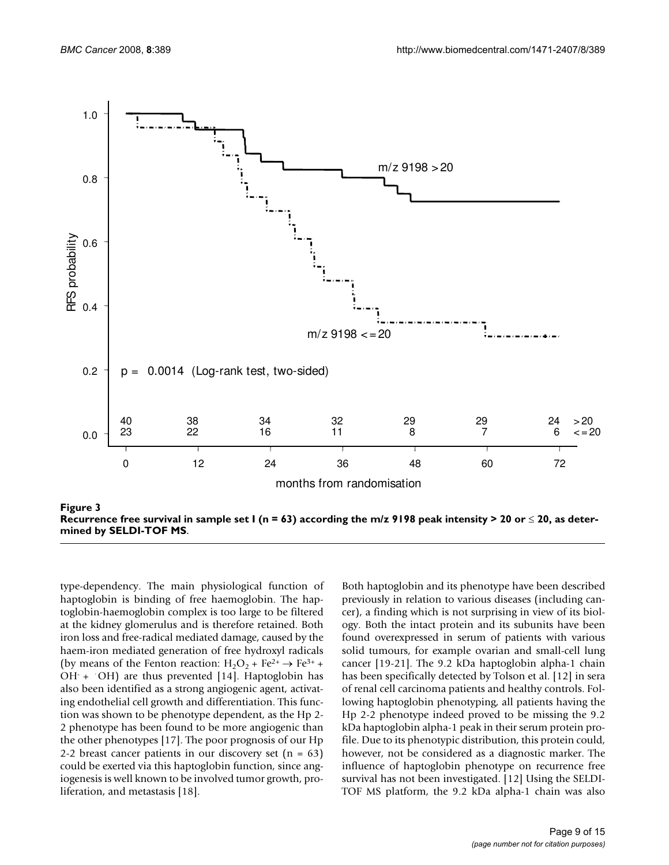

**Recurrence free survival in sample set I (n = 63) according the m/z 9198 peak intensity > 20 or** ≤ **20, as determined by SELDI-TOF MS**.

type-dependency. The main physiological function of haptoglobin is binding of free haemoglobin. The haptoglobin-haemoglobin complex is too large to be filtered at the kidney glomerulus and is therefore retained. Both iron loss and free-radical mediated damage, caused by the haem-iron mediated generation of free hydroxyl radicals (by means of the Fenton reaction:  $H_2O_2$  + Fe<sup>2+</sup>  $\rightarrow$  Fe<sup>3+</sup> +  $OH + OH$  are thus prevented [14]. Haptoglobin has also been identified as a strong angiogenic agent, activating endothelial cell growth and differentiation. This function was shown to be phenotype dependent, as the Hp 2- 2 phenotype has been found to be more angiogenic than the other phenotypes [17]. The poor prognosis of our Hp 2-2 breast cancer patients in our discovery set  $(n = 63)$ could be exerted via this haptoglobin function, since angiogenesis is well known to be involved tumor growth, proliferation, and metastasis [18].

Both haptoglobin and its phenotype have been described previously in relation to various diseases (including cancer), a finding which is not surprising in view of its biology. Both the intact protein and its subunits have been found overexpressed in serum of patients with various solid tumours, for example ovarian and small-cell lung cancer [19-21]. The 9.2 kDa haptoglobin alpha-1 chain has been specifically detected by Tolson et al. [12] in sera of renal cell carcinoma patients and healthy controls. Following haptoglobin phenotyping, all patients having the Hp 2-2 phenotype indeed proved to be missing the 9.2 kDa haptoglobin alpha-1 peak in their serum protein profile. Due to its phenotypic distribution, this protein could, however, not be considered as a diagnostic marker. The influence of haptoglobin phenotype on recurrence free survival has not been investigated. [12] Using the SELDI-TOF MS platform, the 9.2 kDa alpha-1 chain was also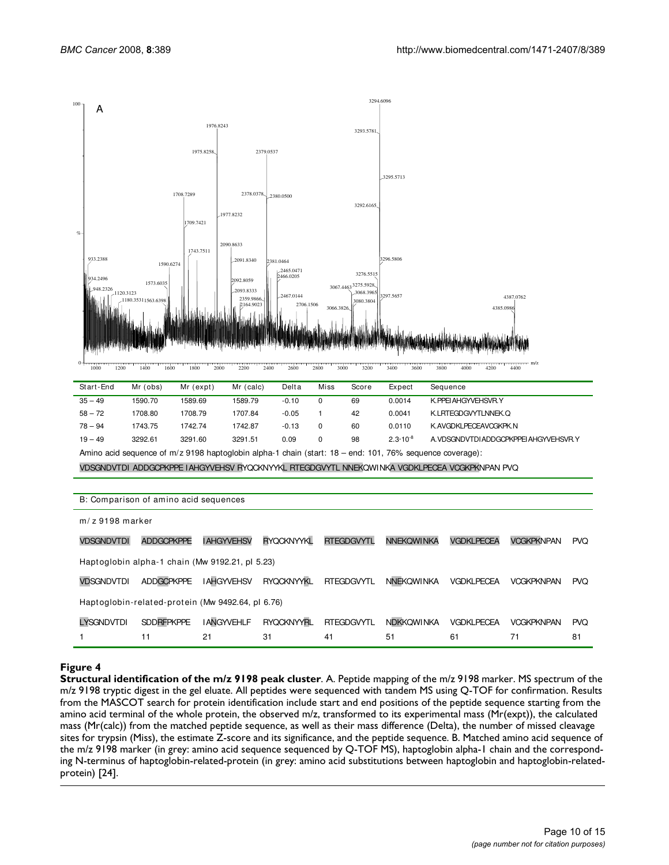

|      |      |      |      |      |      |      |      |      | <del>.</del> . | <del>.</del> |      | ---  |      | --------------------------- | - <del>------</del> - | --   |      | m/z |
|------|------|------|------|------|------|------|------|------|----------------|--------------|------|------|------|-----------------------------|-----------------------|------|------|-----|
| 1000 | 1200 | 1400 | 1600 | 1800 | 2000 | 2200 | 2400 | 2600 | 2800           | 3000         | 3200 | 3400 | 3600 | 3800                        | 4000                  | 4200 | 4400 |     |
|      |      |      |      |      |      |      |      |      |                |              |      |      |      |                             |                       |      |      |     |

| Start-End                                                                                                | Mr (obs) | Mr (expt) | Mr (calc) | Delta   | Miss | Score | Expect              | Sequence                                |  |
|----------------------------------------------------------------------------------------------------------|----------|-----------|-----------|---------|------|-------|---------------------|-----------------------------------------|--|
| $35 - 49$                                                                                                | 1590.70  | 1589.69   | 1589.79   | $-0.10$ | 0    | 69    | 0.0014              | K. PPEI AHGYVEHSVR. Y                   |  |
| $58 - 72$                                                                                                | 1708.80  | 1708.79   | 1707.84   | $-0.05$ |      | 42    | 0.0041              | K. LRTEGDGVYTLNNEK. O                   |  |
| $78 - 94$                                                                                                | 1743.75  | 1742.74   | 1742.87   | $-0.13$ | 0    | 60    | 0.0110              | K. AVGDKLPECEAVCGKPK. N                 |  |
| $19 - 49$                                                                                                | 3292.61  | 3291.60   | 3291.51   | 0.09    | 0    | 98    | $2.3 \cdot 10^{-8}$ | A. VDSGNDVTDI ADDGCPKPPEI AHGYVEHSVR. Y |  |
| Amino acid sequence of m/z 9198 haptoglobin alpha-1 chain (start: 18 – end: 101, 76% sequence coverage): |          |           |           |         |      |       |                     |                                         |  |
| VDSGNDVTDI ADDGCPKPPE IAHGYVEHSV RYQCKNYYKL RTEGDGVYTL NNEKOWINKA VGDKLPECEA VCGKPKNPAN PVQ              |          |           |           |         |      |       |                     |                                         |  |
|                                                                                                          |          |           |           |         |      |       |                     |                                         |  |

| B: Comparison of amino acid sequences             |                                                 |                    |                   |                   |                   |                   |                   |            |  |  |
|---------------------------------------------------|-------------------------------------------------|--------------------|-------------------|-------------------|-------------------|-------------------|-------------------|------------|--|--|
| $m/z$ 9198 marker                                 |                                                 |                    |                   |                   |                   |                   |                   |            |  |  |
| <b>VDSGNDVTDI</b>                                 | <b>ADDGCPKPPE</b>                               | <b>I AHGYVEHSV</b> | <b>RYQCKNYYKL</b> | <b>RTEGDGVYTL</b> | <b>NNEKOWINKA</b> | <b>VGDKLPECEA</b> | <b>VCGKPKNPAN</b> | <b>PVO</b> |  |  |
|                                                   | Haptoglobin alpha-1 chain (Mw 9192.21, pl 5.23) |                    |                   |                   |                   |                   |                   |            |  |  |
| <b>VDSGNDVTDI</b>                                 | <b>ADDGCPKPPE</b>                               | <b>IAHGYVEHSV</b>  | <b>RYQCKNYYKL</b> | <b>RTEGDGVYTL</b> | <b>NNEKOWINKA</b> | <b>VGDKLPECEA</b> | <b>VCGKPKNPAN</b> | <b>PVQ</b> |  |  |
| Haptoglobin-related-protein (Mw 9492.64, pl 6.76) |                                                 |                    |                   |                   |                   |                   |                   |            |  |  |
| <b>LYSGNDVTDI</b>                                 | <b>SDDRFPKPPE</b>                               | <b>I ANGYVEHLF</b> | <b>RYOCKNYYRL</b> | <b>RTEGDGVYTL</b> | <b>NDKKOWINKA</b> | <b>VGDKLPECEA</b> | <b>VCGKPKNPAN</b> | <b>PVQ</b> |  |  |
|                                                   | 11                                              | 21                 | 31                | 41                | 51                | 61                | 71                | 81         |  |  |

#### **Figure 4**

**Structural identification of the m/z 9198 peak cluster**. A. Peptide mapping of the m/z 9198 marker. MS spectrum of the m/z 9198 tryptic digest in the gel eluate. All peptides were sequenced with tandem MS using Q-TOF for confirmation. Results from the MASCOT search for protein identification include start and end positions of the peptide sequence starting from the amino acid terminal of the whole protein, the observed m/z, transformed to its experimental mass (Mr(expt)), the calculated mass (Mr(calc)) from the matched peptide sequence, as well as their mass difference (Delta), the number of missed cleavage sites for trypsin (Miss), the estimate Z-score and its significance, and the peptide sequence. B. Matched amino acid sequence of the m/z 9198 marker (in grey: amino acid sequence sequenced by Q-TOF MS), haptoglobin alpha-1 chain and the corresponding N-terminus of haptoglobin-related-protein (in grey: amino acid substitutions between haptoglobin and haptoglobin-relatedprotein) [24].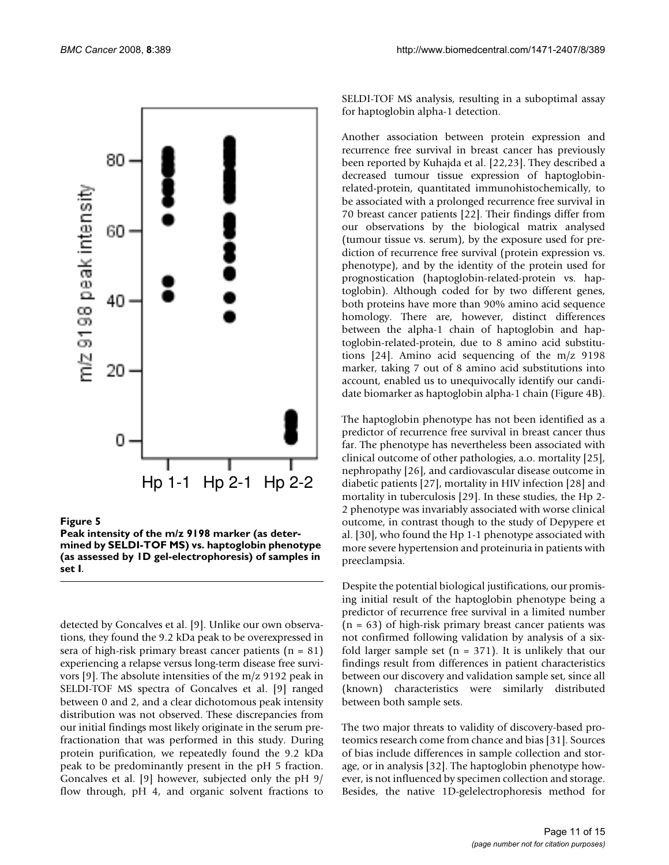

#### **Figure 5**

**Peak intensity of the m/z 9198 marker (as determined by SELDI-TOF MS) vs. haptoglobin phenotype (as assessed by 1D gel-electrophoresis) of samples in set I**.

detected by Goncalves et al. [9]. Unlike our own observations, they found the 9.2 kDa peak to be overexpressed in sera of high-risk primary breast cancer patients  $(n = 81)$ experiencing a relapse versus long-term disease free survivors [9]. The absolute intensities of the m/z 9192 peak in SELDI-TOF MS spectra of Goncalves et al. [9] ranged between 0 and 2, and a clear dichotomous peak intensity distribution was not observed. These discrepancies from our initial findings most likely originate in the serum prefractionation that was performed in this study. During protein purification, we repeatedly found the 9.2 kDa peak to be predominantly present in the pH 5 fraction. Goncalves et al. [9] however, subjected only the pH 9/ flow through, pH 4, and organic solvent fractions to

SELDI-TOF MS analysis, resulting in a suboptimal assay for haptoglobin alpha-1 detection.

Another association between protein expression and recurrence free survival in breast cancer has previously been reported by Kuhajda et al. [22,23]. They described a decreased tumour tissue expression of haptoglobinrelated-protein, quantitated immunohistochemically, to be associated with a prolonged recurrence free survival in 70 breast cancer patients [22]. Their findings differ from our observations by the biological matrix analysed (tumour tissue vs. serum), by the exposure used for prediction of recurrence free survival (protein expression vs. phenotype), and by the identity of the protein used for prognostication (haptoglobin-related-protein vs. haptoglobin). Although coded for by two different genes, both proteins have more than 90% amino acid sequence homology. There are, however, distinct differences between the alpha-1 chain of haptoglobin and haptoglobin-related-protein, due to 8 amino acid substitutions [24]. Amino acid sequencing of the m/z 9198 marker, taking 7 out of 8 amino acid substitutions into account, enabled us to unequivocally identify our candidate biomarker as haptoglobin alpha-1 chain (Figure 4B).

The haptoglobin phenotype has not been identified as a predictor of recurrence free survival in breast cancer thus far. The phenotype has nevertheless been associated with clinical outcome of other pathologies, a.o. mortality [25], nephropathy [26], and cardiovascular disease outcome in diabetic patients [27], mortality in HIV infection [28] and mortality in tuberculosis [29]. In these studies, the Hp 2- 2 phenotype was invariably associated with worse clinical outcome, in contrast though to the study of Depypere et al. [30], who found the Hp 1-1 phenotype associated with more severe hypertension and proteinuria in patients with preeclampsia.

Despite the potential biological justifications, our promising initial result of the haptoglobin phenotype being a predictor of recurrence free survival in a limited number  $(n = 63)$  of high-risk primary breast cancer patients was not confirmed following validation by analysis of a sixfold larger sample set  $(n = 371)$ . It is unlikely that our findings result from differences in patient characteristics between our discovery and validation sample set, since all (known) characteristics were similarly distributed between both sample sets.

The two major threats to validity of discovery-based proteomics research come from chance and bias [31]. Sources of bias include differences in sample collection and storage, or in analysis [32]. The haptoglobin phenotype however, is not influenced by specimen collection and storage. Besides, the native 1D-gelelectrophoresis method for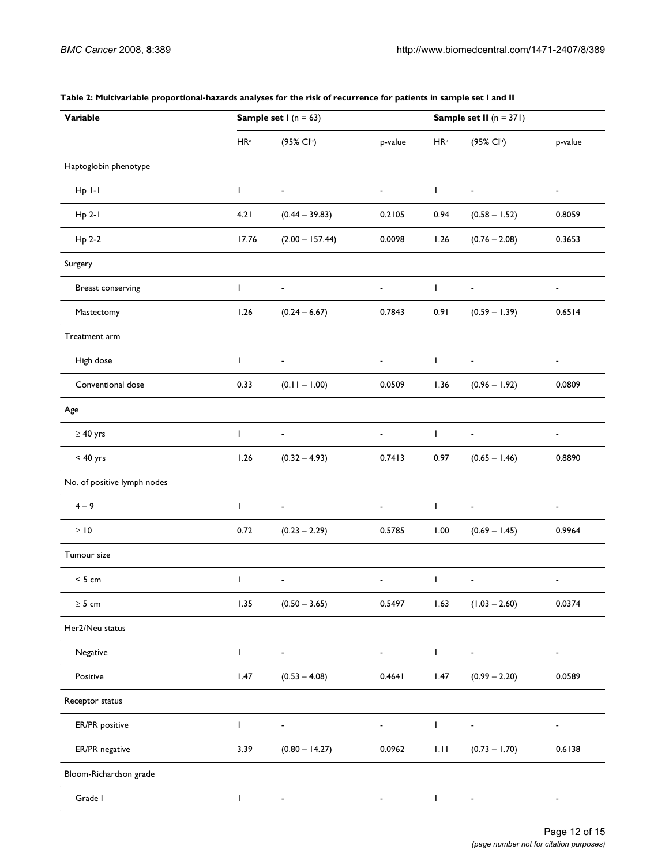| Variable                    |                 | <b>Sample set I</b> ( $n = 63$ ) |                          | Sample set II $(n = 371)$ |                          |                |  |  |
|-----------------------------|-----------------|----------------------------------|--------------------------|---------------------------|--------------------------|----------------|--|--|
|                             | HR <sup>a</sup> | (95% Clb)                        | p-value                  | HR <sup>a</sup>           | (95% Clb)                | p-value        |  |  |
| Haptoglobin phenotype       |                 |                                  |                          |                           |                          |                |  |  |
| $Hp$ $I-I$                  | T               | $\blacksquare$                   | $\blacksquare$           | $\mathsf{I}$              | $\blacksquare$           | $\blacksquare$ |  |  |
| $Hp 2-I$                    | 4.21            | $(0.44 - 39.83)$                 | 0.2105                   | 0.94                      | $(0.58 - 1.52)$          | 0.8059         |  |  |
| Hp 2-2                      | 17.76           | $(2.00 - 157.44)$                | 0.0098                   | 1.26                      | $(0.76 - 2.08)$          | 0.3653         |  |  |
| Surgery                     |                 |                                  |                          |                           |                          |                |  |  |
| Breast conserving           | $\mathbf{I}$    | $\blacksquare$                   | $\overline{\phantom{0}}$ | $\mathbf{I}$              | $\blacksquare$           | -              |  |  |
| Mastectomy                  | 1.26            | $(0.24 - 6.67)$                  | 0.7843                   | 0.91                      | $(0.59 - 1.39)$          | 0.6514         |  |  |
| Treatment arm               |                 |                                  |                          |                           |                          |                |  |  |
| High dose                   | $\mathbf{I}$    | $\blacksquare$                   | $\blacksquare$           | $\mathbf{I}$              | $\blacksquare$           | $\blacksquare$ |  |  |
| Conventional dose           | 0.33            | $(0.11 - 1.00)$                  | 0.0509                   | 1.36                      | $(0.96 - 1.92)$          | 0.0809         |  |  |
| Age                         |                 |                                  |                          |                           |                          |                |  |  |
| $\geq 40$ yrs               | $\mathbf{I}$    | $\blacksquare$                   | $\blacksquare$           | $\mathbf{I}$              | $\overline{\phantom{a}}$ | ٠              |  |  |
| $< 40$ yrs                  | 1.26            | $(0.32 - 4.93)$                  | 0.7413                   | 0.97                      | $(0.65 - 1.46)$          | 0.8890         |  |  |
| No. of positive lymph nodes |                 |                                  |                          |                           |                          |                |  |  |
| $4 - 9$                     | $\mathbf{I}$    | $\blacksquare$                   |                          | $\mathsf{I}$              | $\blacksquare$           | $\blacksquare$ |  |  |
| $\geq 10$                   | 0.72            | $(0.23 - 2.29)$                  | 0.5785                   | 1.00                      | $(0.69 - 1.45)$          | 0.9964         |  |  |
| Tumour size                 |                 |                                  |                          |                           |                          |                |  |  |
| < 5 cm                      | T               | $\overline{\phantom{a}}$         | $\blacksquare$           | T                         | $\blacksquare$           | $\blacksquare$ |  |  |
| $\geq 5$ cm                 | 1.35            | $(0.50 - 3.65)$                  | 0.5497                   | 1.63                      | $(1.03 - 2.60)$          | 0.0374         |  |  |
| Her2/Neu status             |                 |                                  |                          |                           |                          |                |  |  |
| Negative                    | $\mathbf{I}$    | $\qquad \qquad \blacksquare$     | ٠                        | $\mathbf{I}$              | $\blacksquare$           | ۰              |  |  |
| Positive                    | 1.47            | $(0.53 - 4.08)$                  | 0.4641                   | 1.47                      | $(0.99 - 2.20)$          | 0.0589         |  |  |
| Receptor status             |                 |                                  |                          |                           |                          |                |  |  |
| ER/PR positive              | T               |                                  |                          | T                         |                          |                |  |  |
| ER/PR negative              | 3.39            | $(0.80 - 14.27)$                 | 0.0962                   | 1.11                      | $(0.73 - 1.70)$          | 0.6138         |  |  |
| Bloom-Richardson grade      |                 |                                  |                          |                           |                          |                |  |  |
| Grade I                     | T               |                                  |                          | L                         |                          |                |  |  |

#### **Table 2: Multivariable proportional-hazards analyses for the risk of recurrence for patients in sample set I and II**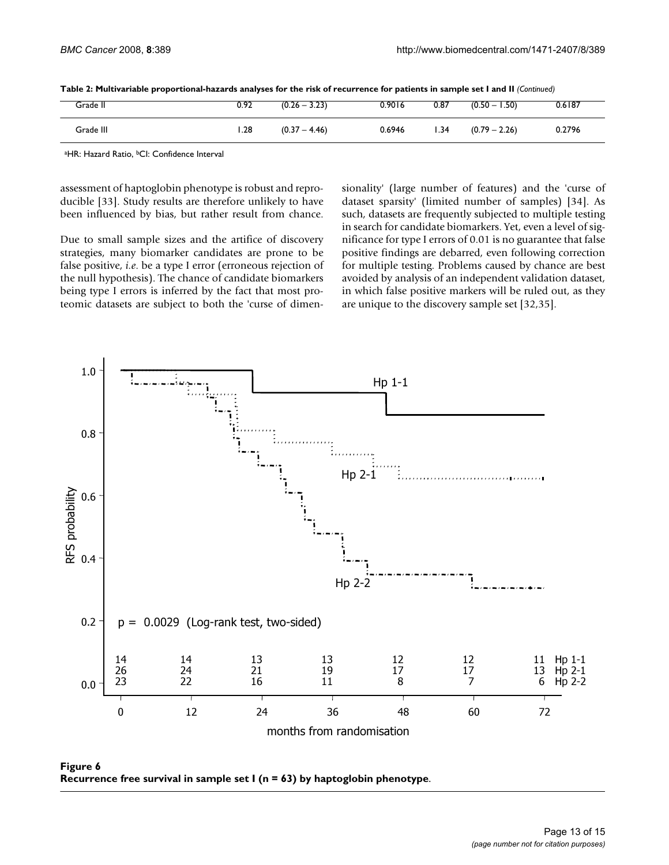| Table 2: Multivariable proportional-hazards analyses for the risk of recurrence for patients in sample set I and II (Continued) |  |  |
|---------------------------------------------------------------------------------------------------------------------------------|--|--|
|---------------------------------------------------------------------------------------------------------------------------------|--|--|

| Grade II  | 0.92 | $(0.26 - 3.23)$ | 0.9016 | 0.87 | 1.50)<br>$(0.50 -$ | 0.6187 |
|-----------|------|-----------------|--------|------|--------------------|--------|
| Grade III | 1.28 | $(0.37 - 4.46)$ | 0.6946 | 1.34 | $(0.79 - 2.26)$    | 0.2796 |

aHR: Hazard Ratio, <sup>b</sup>CI: Confidence Interval

assessment of haptoglobin phenotype is robust and reproducible [33]. Study results are therefore unlikely to have been influenced by bias, but rather result from chance.

Due to small sample sizes and the artifice of discovery strategies, many biomarker candidates are prone to be false positive, *i.e*. be a type I error (erroneous rejection of the null hypothesis). The chance of candidate biomarkers being type I errors is inferred by the fact that most proteomic datasets are subject to both the 'curse of dimensionality' (large number of features) and the 'curse of dataset sparsity' (limited number of samples) [34]. As such, datasets are frequently subjected to multiple testing in search for candidate biomarkers. Yet, even a level of significance for type I errors of 0.01 is no guarantee that false positive findings are debarred, even following correction for multiple testing. Problems caused by chance are best avoided by analysis of an independent validation dataset, in which false positive markers will be ruled out, as they are unique to the discovery sample set [32,35].



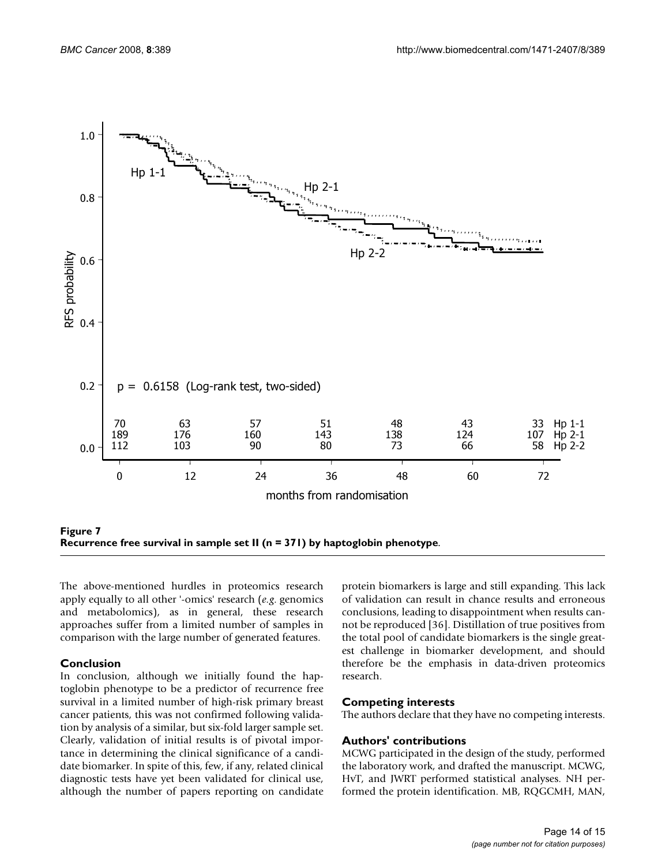

**Figure 7 Recurrence free survival in sample set II (n = 371) by haptoglobin phenotype**.

The above-mentioned hurdles in proteomics research apply equally to all other '-omics' research (*e.g*. genomics and metabolomics), as in general, these research approaches suffer from a limited number of samples in comparison with the large number of generated features.

#### **Conclusion**

In conclusion, although we initially found the haptoglobin phenotype to be a predictor of recurrence free survival in a limited number of high-risk primary breast cancer patients, this was not confirmed following validation by analysis of a similar, but six-fold larger sample set. Clearly, validation of initial results is of pivotal importance in determining the clinical significance of a candidate biomarker. In spite of this, few, if any, related clinical diagnostic tests have yet been validated for clinical use, although the number of papers reporting on candidate protein biomarkers is large and still expanding. This lack of validation can result in chance results and erroneous conclusions, leading to disappointment when results cannot be reproduced [36]. Distillation of true positives from the total pool of candidate biomarkers is the single greatest challenge in biomarker development, and should therefore be the emphasis in data-driven proteomics research.

#### **Competing interests**

The authors declare that they have no competing interests.

#### **Authors' contributions**

MCWG participated in the design of the study, performed the laboratory work, and drafted the manuscript. MCWG, HvT, and JWRT performed statistical analyses. NH performed the protein identification. MB, RQGCMH, MAN,